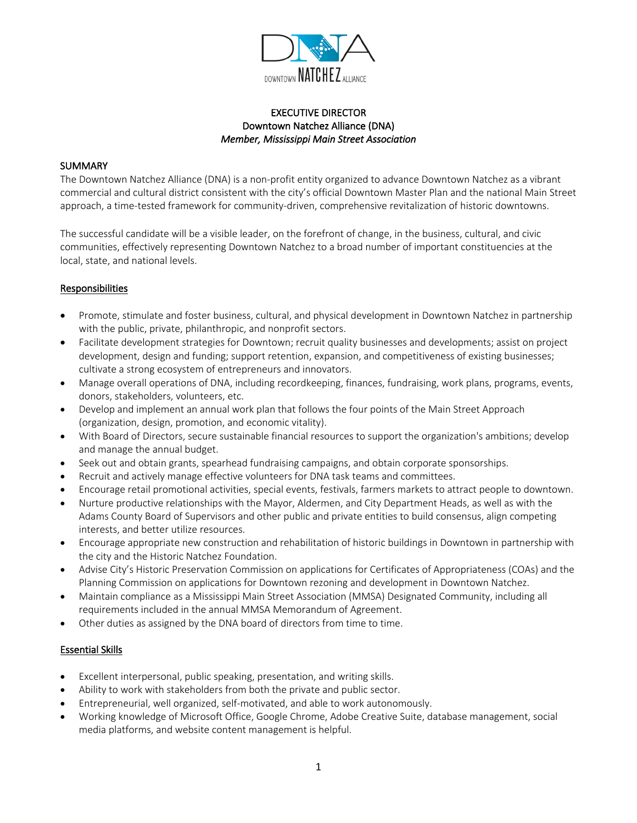

# EXECUTIVE DIRECTOR Downtown Natchez Alliance (DNA) *Member, Mississippi Main Street Association*

#### **SUMMARY**

The Downtown Natchez Alliance (DNA) is a non-profit entity organized to advance Downtown Natchez as a vibrant commercial and cultural district consistent with the city's official Downtown Master Plan and the national Main Street approach, a time-tested framework for community-driven, comprehensive revitalization of historic downtowns.

The successful candidate will be a visible leader, on the forefront of change, in the business, cultural, and civic communities, effectively representing Downtown Natchez to a broad number of important constituencies at the local, state, and national levels.

### Responsibilities

- Promote, stimulate and foster business, cultural, and physical development in Downtown Natchez in partnership with the public, private, philanthropic, and nonprofit sectors.
- Facilitate development strategies for Downtown; recruit quality businesses and developments; assist on project development, design and funding; support retention, expansion, and competitiveness of existing businesses; cultivate a strong ecosystem of entrepreneurs and innovators.
- Manage overall operations of DNA, including recordkeeping, finances, fundraising, work plans, programs, events, donors, stakeholders, volunteers, etc.
- Develop and implement an annual work plan that follows the four points of the Main Street Approach (organization, design, promotion, and economic vitality).
- With Board of Directors, secure sustainable financial resources to support the organization's ambitions; develop and manage the annual budget.
- Seek out and obtain grants, spearhead fundraising campaigns, and obtain corporate sponsorships.
- Recruit and actively manage effective volunteers for DNA task teams and committees.
- Encourage retail promotional activities, special events, festivals, farmers markets to attract people to downtown.
- Nurture productive relationships with the Mayor, Aldermen, and City Department Heads, as well as with the Adams County Board of Supervisors and other public and private entities to build consensus, align competing interests, and better utilize resources.
- Encourage appropriate new construction and rehabilitation of historic buildings in Downtown in partnership with the city and the Historic Natchez Foundation.
- Advise City's Historic Preservation Commission on applications for Certificates of Appropriateness (COAs) and the Planning Commission on applications for Downtown rezoning and development in Downtown Natchez.
- Maintain compliance as a Mississippi Main Street Association (MMSA) Designated Community, including all requirements included in the annual MMSA Memorandum of Agreement.
- Other duties as assigned by the DNA board of directors from time to time.

### Essential Skills

- Excellent interpersonal, public speaking, presentation, and writing skills.
- Ability to work with stakeholders from both the private and public sector.
- Entrepreneurial, well organized, self-motivated, and able to work autonomously.
- Working knowledge of Microsoft Office, Google Chrome, Adobe Creative Suite, database management, social media platforms, and website content management is helpful.